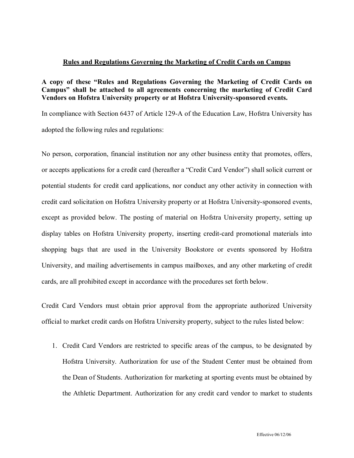## **Rules and Regulations Governing the Marketing of Credit Cards on Campus**

## **A copy of these ³Rules and Regulations Governing the Marketing of Credit Cards on Campus´ shall be attached to all agreements concerning the marketing of Credit Card Vendors on Hofstra University property or at Hofstra University-sponsored events.**

In compliance with Section 6437 of Article 129-A of the Education Law, Hofstra University has adopted the following rules and regulations:

No person, corporation, financial institution nor any other business entity that promotes, offers, or accepts applications for a credit card (hereafter a "Credit Card Vendor") shall solicit current or potential students for credit card applications, nor conduct any other activity in connection with credit card solicitation on Hofstra University property or at Hofstra University-sponsored events, except as provided below. The posting of material on Hofstra University property, setting up display tables on Hofstra University property, inserting credit-card promotional materials into shopping bags that are used in the University Bookstore or events sponsored by Hofstra University, and mailing advertisements in campus mailboxes, and any other marketing of credit cards, are all prohibited except in accordance with the procedures set forth below.

Credit Card Vendors must obtain prior approval from the appropriate authorized University official to market credit cards on Hofstra University property, subject to the rules listed below:

1. Credit Card Vendors are restricted to specific areas of the campus, to be designated by Hofstra University. Authorization for use of the Student Center must be obtained from the Dean of Students. Authorization for marketing at sporting events must be obtained by the Athletic Department. Authorization for any credit card vendor to market to students